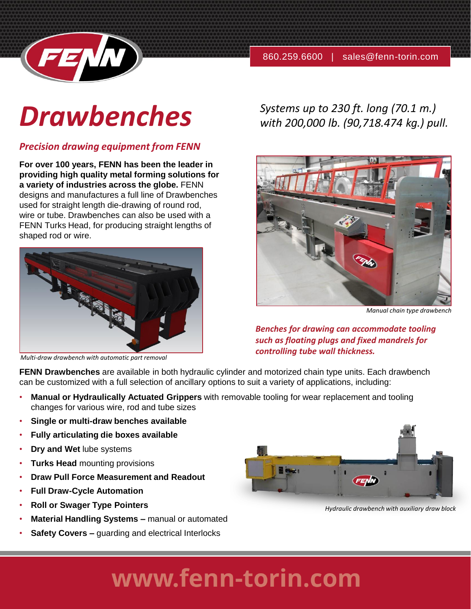



# *Drawbenches*

## *Precision drawing equipment from FENN*

**For over 100 years, FENN has been the leader in providing high quality metal forming solutions for a variety of industries across the globe.** FENN designs and manufactures a full line of Drawbenches used for straight length die-drawing of round rod, wire or tube. Drawbenches can also be used with a FENN Turks Head, for producing straight lengths of shaped rod or wire.



*Multi-draw drawbench with automatic part removal*

*Systems up to 230 ft. long (70.1 m.) with 200,000 lb. (90,718.474 kg.) pull.*



*Manual chain type drawbench*

*Benches for drawing can accommodate tooling such as floating plugs and fixed mandrels for controlling tube wall thickness.*

**FENN Drawbenches** are available in both hydraulic cylinder and motorized chain type units. Each drawbench can be customized with a full selection of ancillary options to suit a variety of applications, including:

- **Manual or Hydraulically Actuated Grippers** with removable tooling for wear replacement and tooling changes for various wire, rod and tube sizes
- **Single or multi-draw benches available**
- **Fully articulating die boxes available**
- **Dry and Wet** lube systems
- **Turks Head** mounting provisions
- **Draw Pull Force Measurement and Readout**
- **Full Draw-Cycle Automation**
- **Roll or Swager Type Pointers**
- **Material Handling Systems –** manual or automated
- **Safety Covers –** guarding and electrical Interlocks



*Hydraulic drawbench with auxiliary draw block*

## www.fenn-torin.com